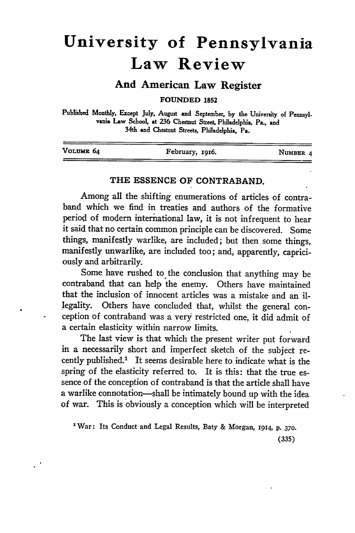## **University of Pennsylvania Law Review**

**And American Law Register**

**FOUNDED 1852**

**Published Monthly, Except July, August and September, by the University of Pennsylvania Law School, at 236 Chestnut Street,** Philadelphia, **Pa., and 34th and Chestnut Streets, Philadelphia, Pa.**

| VOLUME 64 | February, 1916. | NUMBER 4 |
|-----------|-----------------|----------|
|           |                 |          |

## **THE ESSENCE OF CONTRABAND.**

Among **all** the shifting enumerations of articles of contraband which we find in treaties and authors of the formative period of modem international law, it is not infrequent to hear it said that no certain common principle can be discovered. Some things, manifestly warlike, are included; but then some things, manifestly unwarlike, are included too; and, apparently, capriciously and arbitrarily.

Some have rushed to the conclusion that anything may be contraband that can help the enemy. Others have maintained that the inclusion of innocent articles was a mistake and an illegality. Others have concluded that, whilst the general conception of contraband was a very restricted one, it did admit of a certain elasticity within narrow limits.

The last view is that which the present writer put forward in a necessarily short and imperfect sketch of the subject recently published.1 It seems desirable here to indicate what is the spring of the elasticity referred to. It is this: that the true essence of the conception of contraband is that the article shall have a warlike connotation-shall be intimately bound up with the idea of war. This is obviously a conception which will be interpreted

War: Its Conduct and Legal Results, Baty & Morgan, **1914,** p. **370. (335)**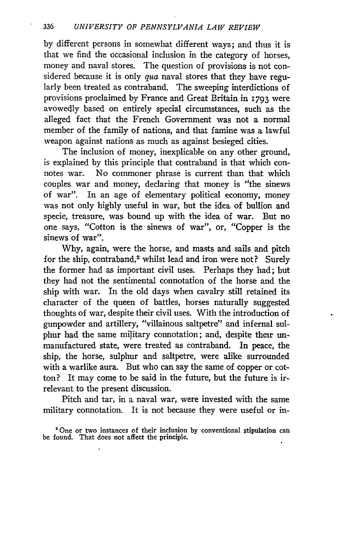by different persons in somewhat different ways; and thus it is that we find the occasional inclusion in the category of horses, money and naval stores. The question of provisions is not considered because it is only *qua* naval stores that they have regularly been treated as contraband. The sweeping interdictions of provisions proclaimed by France and Great Britain in 1793 were avowedly based on entirely special circumstances, such as the alleged fact that the French Government was not a normal member of the family of nations, and that famine was a lawful weapon against nations as much as against besieged cities.

The inclusion of money, inexplicable on any other ground, is explained **by** this principle that contraband is that which connotes war. No commoner phrase is current than that which couples war and money, declaring that money is "the sinews of war". In an age of elementary political economy, money was not only highly useful in war, but the idea of bullion and specie, treasure, was bound up with the idea of war. But no one says, "Cotton is the sinews of war", or, "Copper is the sinews of war".

Why, again, were the horse, and masts and sails and pitch for the ship, contraband,<sup>2</sup> whilst lead and iron were not? Surely the former had as important civil uses. Perhaps they had; but they had not the sentimental connotation of the horse and the ship with war. In the old days when cavalry still retained its character of the queen of battles, horses naturally suggested thoughts of war, despite their civil uses. With the introduction of gunpowder and artillery, "villainous saltpetre" and infernal sulphur had the same military connotation; and, despite their unmanufactured state, were treated as contraband. In peace, the ship, the horse, sulphur and saltpetre, were alike surrounded with a warlike aura. But who can say the same of copper or cotton? It may come to be said in the future, but the future is irrelevant to the present discussion.

Pitch and tar, in a naval war, were invested with the same military connotation. It is not because they were useful or in-

<sup>&#</sup>x27;One or two instances of their inclusion **by** conventional stipulation can be found. That does not affect the principle.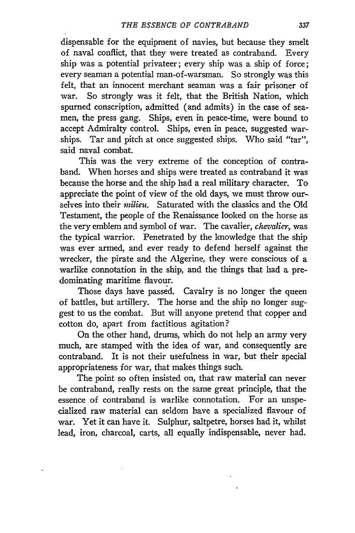dispensable for the equipment of navies, but because they smelt of naval conflict, that they were treated as contraband. Every ship was a potential privateer; every ship was a ship of force; every seaman a potential man-of-warsman. So strongly was this felt, that an innocent merchant seaman was a fair prisoner of war. So strongly was it felt, that the British Nation, which spumed conscription, admitted (and admits) in the case of seamen, the press gang. Ships, even in peace-time, were bound to accept Admiralty control. Ships, even in peace, suggested warships. Tar and pitch at once suggested ships. Who said "tar", said naval combat.

This was the very extreme of the conception of contraband. When horses and ships were treated as contraband it was because the horse and the ship had a real military character. To appreciate the point of view of the old days, we must throw ourselves into their *milieu.* Saturated with the classics and the Old Testament, the people of the Renaissance looked on the horse as the very emblem and symbol of war. The cavalier, *chevalier.,* was the typical warrior. Penetrated by the knowledge that the ship was ever armed, and ever ready to defend herself against the wrecker, the pirate and the Algerine, they were conscious of a warlike connotation in the ship, and the things that had a predominating maritime flavour.

Those days have passed. Cavalry is no longer the queen of battles, but artillery. The horse and the ship no longer suggest to us the combat. But will anyone pretend that copper and cotton do, apart from factitious agitation?

On the other hand, drums, which do not help an army very much, are stamped with the idea of war, and consequently are contraband. It is not their usefulness in war, but their special appropriateness for war, that makes things such.

The point so often insisted on, that raw material can never be contraband, really rests on the same great principle, that the essence of contraband is warlike connotation. For an unspecialized raw material can seldom have a specialized flavour of war. Yet it can have it. Sulphur, saltpetre, horses had it, whilst lead, iron, charcoal, carts, all equally indispensable, never had.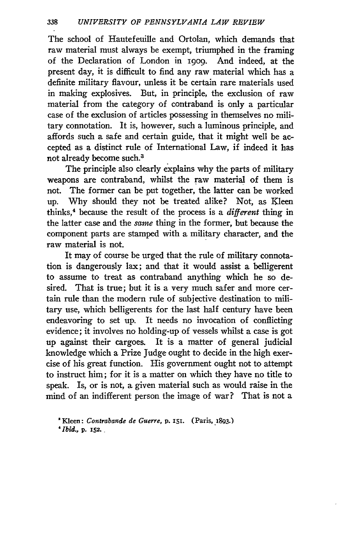The school of Hautefeuille and Ortolan, which demands that raw material must always be exempt, triumphed in the framing of the Declaration of London in 19o9. And indeed, at the present day, it is difficult to find any raw material which has a definite military flavour, unless it be certain rare materials used in making explosives. But, in principle, the exclusion of raw material from the category of contraband is only a particular case of the exclusion of articles possessing in themselves no military connotation. It is, however, such a luminous principle, and affords such a safe and certain guide, that it might well be accepted as a distinct rule of International Law, if indeed it has not already become such.3

The principle also clearly explains why the parts of military weapons are contraband, whilst the raw material of them is not. The former can be put together, the latter can be worked up. Why should they not be treated alike? Not, as Kleen thinks,4 because the result of the process is a *different* thing in the latter case and the *same* thing in the former, but because the component parts are stamped with a military character, and the raw material is not.

It may of course be urged that the rule of military connotation is dangerously lax; and that it would assist a belligerent to assume to treat as contraband anything which he so desired. That is true; but it is a very much safer and more certain rule than the modern rule of subjective destination to military use, which belligerents for the last half century have been endeavoring to set up. It needs no invocation of conflicting evidence; it involves no holding-up of vessels whilst a case is got up against their cargoes. It is a matter of general judicial knowledge which a Prize Judge ought to decide in the high exercise of his great function. His government ought not to attempt to instruct him; for it is a matter on which they have no title to speak. Is, or is not, a given material such as would raise in the mind of an indifferent person the image of war? That is not a

<sup>\*</sup>Kleen: *Contrabande de Guerre,* **p.** 151. (Paris, 1893.) *'Ibid.,* **p. 152.**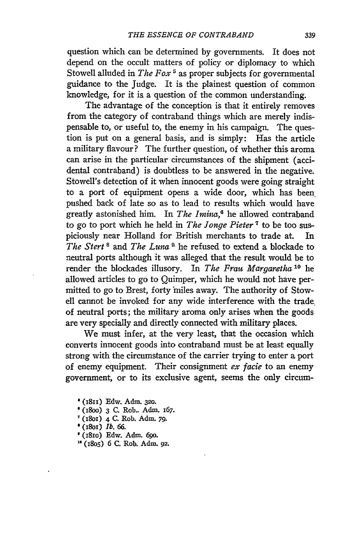question which can be determined **by** governments. It does not depend on the occult matters of policy or diplomacy to which Stowell alluded in *The Fox* **5** as proper subjects for governmental guidance to the Judge. It is the plainest question of common knowledge, for it is a question of the common understanding.

The advantage of the conception is that it entirely removes from the category of contraband things which are merely indispensable to, or useful to, the enemy in his campaign. The question is put on a general basis, and is simply: Has the article a military flavour? The further question, of whether this aroma can arise in the particular circumstances of the shipment (accidental contraband) is doubtless to be answered in the negative. Stowell's detection of it when innocent goods were going straight to a port of equipment opens a wide door, which has been pushed back of late so as to lead to results which would have greatly astonished him. In *The Imina*,<sup>6</sup> he allowed contraband to go to port which he held in *The Jonge Pieter 7* to be too suspiciously near Holland for British merchants to trade at. In *The Stert 8* and *The Luna <sup>9</sup>*he refused to extend a blockade to neutral ports although it was alleged that the result would be to render the blockades illusory. In *The Frau Margaretha 1 <sup>0</sup>*he allowed articles to go to Quimper, which he would not have permitted to go to Brest, forty miles away. The authority of Stowell cannot be invoked for any wide interference with the trade of neutral ports; the military aroma only arises when the goods are very specially and directly connected with military places.

We must infer, at the very least, that the occasion which converts innocent goods into contraband must be at least equally strong with the circumstance of the carrier trying to enter a port of enemy equipment. Their consignment *ex facie* to an enemy government, or to its exclusive agent, seems the only circum-

- •(1811) **Edw.** Adm. **32o.**
- **(i8oo) 3 C.** Rob.. Adm. 167.
- **(i8o)** 4 **C.** Rob. Adm. **79.**
- (i8oi) *lb. 66.*
- **'** (18io) Edw. **Adm. 69o.**
- **(i8o5) 6 C. Rob. Adm. 92.**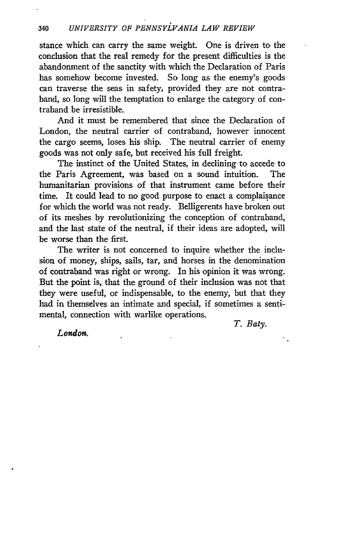stance which can carry the same weight. One is driven to the conclusion that the real remedy for the present difficulties is the abandonment of the sanctity with which the Declaration of Paris has somehow become invested. So long as the enemy's goods can traverse the seas in safety, provided they are not contraband, so long will the temptation to enlarge the category of contraband be irresistible.

And it must be remembered that since the Declaration of London, the neutral carrier of contraband, however innocent the cargo seems, loses his ship. The neutral carrier of enemy goods was not only safe, but received his full freight.

The instinct of the United States, in declining to accede to the Paris Agreement, was based on a sound intuition. The humanitarian provisions of that instrument came before their time. It could lead to no good purpose to enact a complaisance for which the world was not ready. Belligerents have broken out of its meshes by revolutionizing the conception of contraband, and the last state of the neutral, if their ideas are adopted, will be worse than the first.

The writer is not concerned to inquire whether the inclusion of money, ships, sails, tar, and horses in the denomination of contraband was right or wrong. In his opinion it was wrong. But the point is, that the ground of their inclusion was not that they were useful, or indispensable, to the enemy, but that they had in themselves an intimate and special, if sometimes a sentimental, connection with warlike operations.

*London.*

*T. Baty.*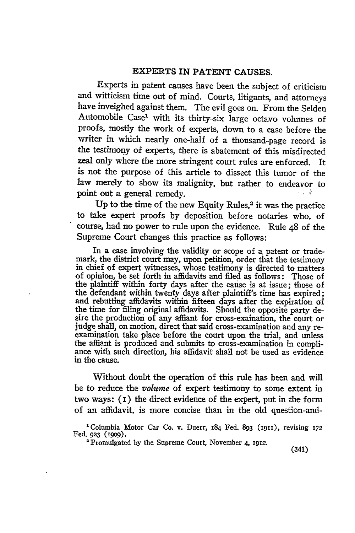## EXPERTS IN **PATENT CAUSES.**

Experts in patent causes have been the subject of criticism and witticism time out of mind. Courts, litigants, and attorneys have inveighed against them. The evil goes on. From the Selden Automobile Case1 with its thirty-six large octavo volumes of proofs, mostly the work of experts, down to a case before the writer in which nearly one-half of a thousand-page record is the testimony of experts, there is abatement of this misdirected zeal only where the more stringent court rules are enforced. It is not the purpose of this article to dissect this tumor of the law merely to show its malignity, but rather to endeavor to point out a general remedy.

Up to the time of the new Equity Rules,<sup>2</sup> it was the practice to take expert proofs by deposition before notaries who, of course, had no power to rule upon the evidence. Rule 48 of the Supreme Court changes this practice as follows:

In a case involving the validity or scope of a patent or trademark, the district court may, upon petition, order that the testimony in chief of expert witnesses, whose testimony is directed to matters of opinion, be set forth in affidavits and filed as follows: Those of the plaintiff within forty days after the cause is at issue; those of the defendant within twenty days after plaintiff's time has expired; and rebutting affidavits within fifteen days after the expiration *cf* the time for filing original affidavits. Should the opposite party desire the production of any affiant for cross-exaination, the court or judge shall, on motion, direct that said cross-examination and any reexamination take place before the court upon the trial, and unless the affiant is produced and submits to cross-examination in compliance with such direction, his affidavit shall not be used as evidence in the cause.

Without doubt the operation of this rule has been and will be to reduce the *volume* of expert testimony to some extent in two ways: (i) the direct evidence of the expert, put in the form of an affidavit, is more concise than in the old question-and-

**(341)**

<sup>1</sup>Columbia Motor Car Co. v. Duerr, **184** Fed. 893 (IgII), revising 172 Fed. 923 **(i9o9).** 2 Promulgated by the Supreme Court, November 4, 1912.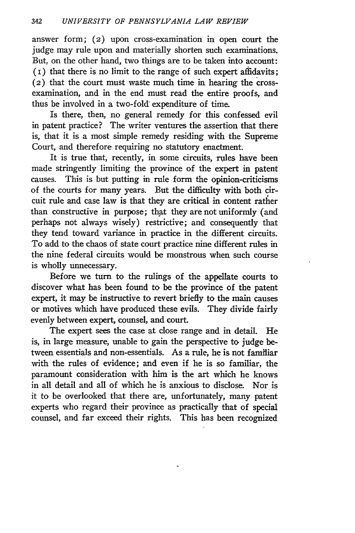answer form; (2) upon cross-examination in open court the judge may rule upon and materially shorten such examinations. But, on the other hand, two things are to be taken into account: (i) that there is no limit to the range of such expert affidavits; (2) that the court must waste much time in hearing the crossexamination, and in the end must read the entire proofs, and thus be involved in a two-fold expenditure of time.

Is there, then, no general remedy for this confessed evil in patent practice? The writer ventures the assertion that there is, that it is a most simple remedy residing with the Supreme Court, and therefore requiring no statutory enactment.

It is true that, recently, in some circuits, rules have been made stringently limiting the province of the expert in patent causes. This is but putting in rule form the opinion-criticisms of the courts for many years. But the difficulty with both circuit rule and case law is that they are critical in content rather than constructive in purpose; that they are not uniformly (and perhaps not always wisely) restrictive; and consequently that they tend toward variance in practice in the different circuits. To add to the chaos of state court practice nine different rules in the nine federal circuits would be monstrous when such course is wholly unnecessary.

Before we turn to the rulings of the appellate courts to discover what has been found to be the province of the patent expert, it may be instructive to revert briefly to the main causes or motives which have produced these evils. They divide fairly evenly between expert, counsel, and court.

The expert sees the case at close range and in detail. He is, in large measure, unable to gain the perspective to judge between essentials and non-essentials. As a rule, he is not familiar with the rules of evidence; and even if he is so familiar, the paramount consideration with him is the art which he knows in all detail and all of which he is anxious to disclose. Nor is it to be overlooked that there are, unfortunately, many patent experts who regard their province as practically that of special counsel, and far exceed their rights. This has been recognized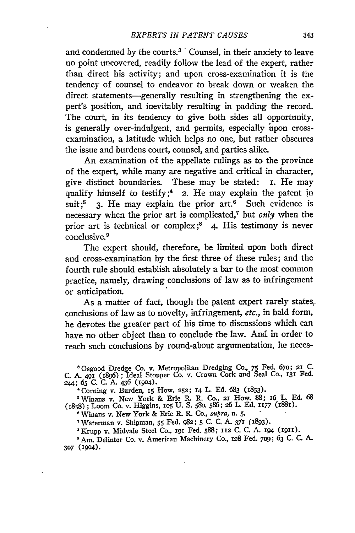and condemned by the courts.<sup>3</sup> Counsel, in their anxiety to leave no point uncovered, readily follow the lead of the expert, rather than direct his activity; and upon cross-examination it is the tendency of counsel to endeavor to break down or weaken the direct statements-generally resulting in strengthening the expert's position, and inevitably resulting in padding the record. The court, in its tendency to give both sides all opportunity, is generally over-indulgent, and permits, especially upon crossexamination, a latitude which helps no one, but rather obscures the issue and burdens court, counsel, and parties alike.

An examination of the appellate rulings as to the province of the expert, while many are negative and critical in character, give distinct boundaries. These may be stated: **i.** He may qualify himself to testify;<sup>4</sup> 2. He may explain the patent in suit;<sup>5</sup> 3. He may explain the prior art.<sup>6</sup> Such evidence is necessary when the prior art is complicated,<sup>7</sup> but *only* when the prior art is technical or complex;<sup>8</sup> 4. His testimony is never conclusive.<sup>9</sup>

The expert should, therefore, be limited upon both direct and cross-examination by the first three of these rules; and the fourth rule should establish absolutely a bar to the most common practice, namely, drawing conclusions of law as to infringement or anticipation.

As a matter of fact, though the patent expert rarely states, conclusions of law as to novelty, infringement, *etc.,* in bald form, he devotes the greater part of his time to discussions which can have no other object than to conclude the law. And in order to reach such conclusions by round-about argumentation, he neces-

'Winans v. New York & Erie R. R. Co., **21** How. 88; **16** L. **Ed.** 68 (i858); Loom Co. v. Higgins, **io.5 U.** S. 58o, 586; **26** L. **Ed. 1177** *(i88I).*

**'** Winans v. New York & Erie R. R. Co., supra, *n.* **5.**

'Waterman v. Shipman, **55** Fed. **982; 5** C. C. A. **311 (1893).**

3Krupp v. Midvale Steel Co.. **i9i** Fed. s88; **112** C. **C. A. I94** (I9XI).

'Am. Delinter Co. v. American Machinery Co., **128** Fed. **709;** 63 C. C. A. **307 (1904).**

<sup>&#</sup>x27;Osgood Dredge Co. v. Metropolitan Dredging Co., *75* Fed. **670; 21 C.** C. A. **491** (1896); Ideal Stopper Co. v. Crown Cork and Seal Co., **131** Fed. 244; 65 C. **C.** A. 436 (I9O4).

<sup>&#</sup>x27;Coming v. Burden, **15** How. **252; 14** L. **Ed.** 683 (853).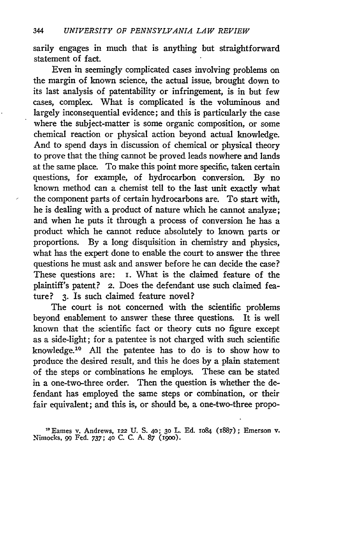sarily engages in much that is anything but straightforward statement of fact.

Even in seemingly complicated cases involving problems on the margin of known science, the actual issue, brought down to its last analysis of patentability or infringement, is in but few cases, complex. What is complicated is the voluminous and largely inconsequential evidence; and this is particularly the case where the subject-matter is some organic composition, or some chemical reaction or physical action beyond actual knowledge. And to spend days in discussion of chemical or physical theory to prove that the thing cannot be proved leads nowhere and lands at the same place. To make this point more specific, taken certain questions, for example, of hydrocarbon conversion. **By** no known method can a chemist tell to the last unit exactly what the component parts of certain hydrocarbons are. To start with, he is dealing with a product of nature which he cannot analyze; and when he puts it through a process of conversion he has a product which he cannot reduce absolutely to known parts or proportions. By a long disquisition in chemistry and physics, what has the expert done to enable the court to answer the three questions he must ask and answer before he can decide the case? These questions are: i. What is the claimed feature of the plaintiff's patent? 2. Does the defendant use such claimed feature? **3.** Is such claimed feature novel?

The court is not concerned with the scientific problems beyond enablement to answer these three questions. It is well known that the scientific fact or theory cuts no figure except as a side-light; for a patentee is not charged with such scientific knowledge.10 **All** the patentee has to do is to show how to produce the desired result, and this he does **by** a plain statement of the steps or combinations he employs. These can be stated in a one-two-three order. Then the question is whether the defendant has employed the same steps or combination, or their fair equivalent; and this is, or should be, a one-two-three propo-

"Eames v. Andrews, **122** *U.* **S. 4o;** 3o L. **Ed.** io84 (1887); Emerson v. Nimocks, **99** Fed. *737;* **40 C. C. A. 87** (i9oo).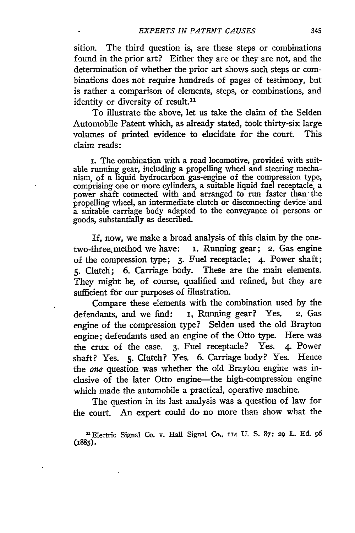sition. The third question is, are these steps or combinations found in the prior art? Either they are or they are not, and the determination of whether the prior art shows such steps or combinations does not require hundreds of pages of testimony, but is rather a comparison of elements, steps, or combinations, and identity or diversity of result.<sup>11</sup>

To illustrate the above, let us take the claim of the Selden Automobile Patent which, as already stated, took thirty-six large volumes of printed evidence to elucidate for the court. This claim reads:

i. The combination with a road locomotive, provided with suitable running gear, including a propelling wheel and steering mechanism, of a liquid hydrocarbon gas-engine of the compression type, comprising one or more cylinders, a suitable liquid fuel receptacle, a power shaft connected with and arranged to run faster than-the propelling wheel, an intermediate clutch or disconnecting device and a suitable carriage body adapted to the conveyance of persons or goods, substantially as described.

If, now, we make a broad analysis of this claim by the onetwo-three method we have: I. Running gear; 2. Gas engine of the compression type; **3.** Fuel receptacle; 4. Power shaft; 5. Clutch; 6. Carriage body. These are the main elements. They might be, of course, qualified and refined, but they are sufficient for our purposes of illustration.

Compare these elements with the combination used by the defendants, and we find: I. Running gear? Yes. 2. Gas engine of the compression type? Selden used the old Brayton engine; defendants used an engine of the Otto type. Here was the crux of the case. 3. Fuel receptacle? Yes. 4. Power shaft? Yes. **5.** Clutch? Yes. 6. Carriage body? Yes. Hence the one question was whether the old Brayton engine was inclusive of the later Otto engine-the high-compression engine which made the automobile a practical, operative machine.

The question in its last analysis was a question of law for the court. An expert could do no more than show what the

"Electric Signal Co. v. Hall Signal Co.. **114** U. S. 87; 29 L. **Ed.** 96 **(188s).**